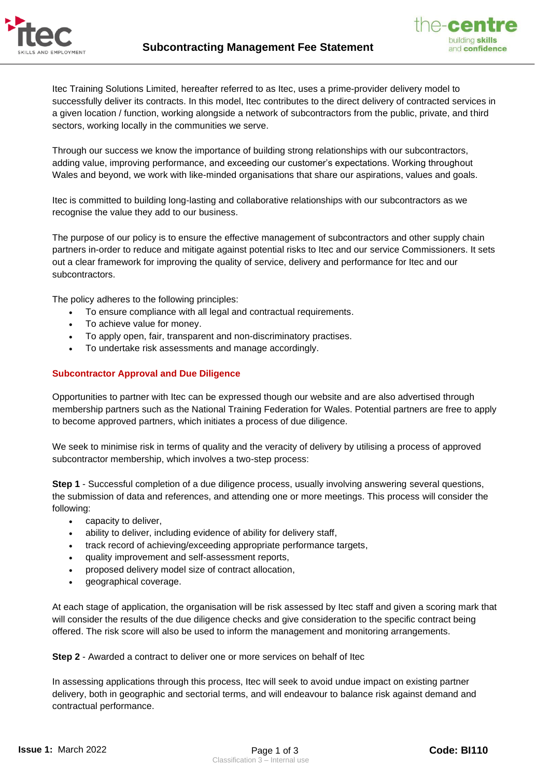



Itec Training Solutions Limited, hereafter referred to as Itec, uses a prime-provider delivery model to successfully deliver its contracts. In this model, Itec contributes to the direct delivery of contracted services in a given location / function, working alongside a network of subcontractors from the public, private, and third sectors, working locally in the communities we serve.

Through our success we know the importance of building strong relationships with our subcontractors, adding value, improving performance, and exceeding our customer's expectations. Working throughout Wales and beyond, we work with like-minded organisations that share our aspirations, values and goals.

Itec is committed to building long-lasting and collaborative relationships with our subcontractors as we recognise the value they add to our business.

The purpose of our policy is to ensure the effective management of subcontractors and other supply chain partners in-order to reduce and mitigate against potential risks to Itec and our service Commissioners. It sets out a clear framework for improving the quality of service, delivery and performance for Itec and our subcontractors.

The policy adheres to the following principles:

- To ensure compliance with all legal and contractual requirements.
- To achieve value for money.
- To apply open, fair, transparent and non-discriminatory practises.
- To undertake risk assessments and manage accordingly.

### **Subcontractor Approval and Due Diligence**

Opportunities to partner with Itec can be expressed though our website and are also advertised through membership partners such as the National Training Federation for Wales. Potential partners are free to apply to become approved partners, which initiates a process of due diligence.

We seek to minimise risk in terms of quality and the veracity of delivery by utilising a process of approved subcontractor membership, which involves a two-step process:

**Step 1** - Successful completion of a due diligence process, usually involving answering several questions, the submission of data and references, and attending one or more meetings. This process will consider the following:

- capacity to deliver,
- ability to deliver, including evidence of ability for delivery staff,
- track record of achieving/exceeding appropriate performance targets,
- quality improvement and self-assessment reports,
- proposed delivery model size of contract allocation,
- geographical coverage.

At each stage of application, the organisation will be risk assessed by Itec staff and given a scoring mark that will consider the results of the due diligence checks and give consideration to the specific contract being offered. The risk score will also be used to inform the management and monitoring arrangements.

**Step 2** - Awarded a contract to deliver one or more services on behalf of Itec

In assessing applications through this process, Itec will seek to avoid undue impact on existing partner delivery, both in geographic and sectorial terms, and will endeavour to balance risk against demand and contractual performance.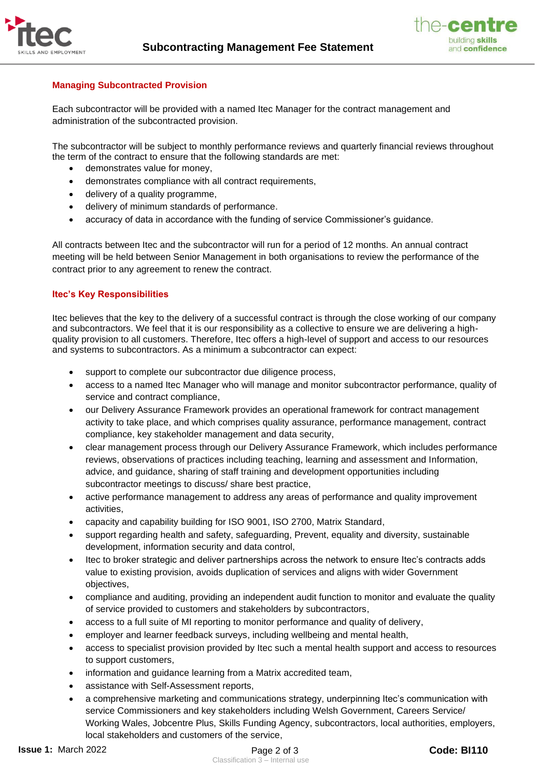



# **Managing Subcontracted Provision**

Each subcontractor will be provided with a named Itec Manager for the contract management and administration of the subcontracted provision.

The subcontractor will be subject to monthly performance reviews and quarterly financial reviews throughout the term of the contract to ensure that the following standards are met:

- demonstrates value for money.
- demonstrates compliance with all contract requirements,
- delivery of a quality programme,
- delivery of minimum standards of performance.
- accuracy of data in accordance with the funding of service Commissioner's guidance.

All contracts between Itec and the subcontractor will run for a period of 12 months. An annual contract meeting will be held between Senior Management in both organisations to review the performance of the contract prior to any agreement to renew the contract.

### **Itec's Key Responsibilities**

Itec believes that the key to the delivery of a successful contract is through the close working of our company and subcontractors. We feel that it is our responsibility as a collective to ensure we are delivering a highquality provision to all customers. Therefore, Itec offers a high-level of support and access to our resources and systems to subcontractors. As a minimum a subcontractor can expect:

- support to complete our subcontractor due diligence process,
- access to a named Itec Manager who will manage and monitor subcontractor performance, quality of service and contract compliance,
- our Delivery Assurance Framework provides an operational framework for contract management activity to take place, and which comprises quality assurance, performance management, contract compliance, key stakeholder management and data security,
- clear management process through our Delivery Assurance Framework, which includes performance reviews, observations of practices including teaching, learning and assessment and Information, advice, and guidance, sharing of staff training and development opportunities including subcontractor meetings to discuss/ share best practice,
- active performance management to address any areas of performance and quality improvement activities,
- capacity and capability building for ISO 9001, ISO 2700, Matrix Standard,
- support regarding health and safety, safeguarding, Prevent, equality and diversity, sustainable development, information security and data control,
- Itec to broker strategic and deliver partnerships across the network to ensure Itec's contracts adds value to existing provision, avoids duplication of services and aligns with wider Government objectives,
- compliance and auditing, providing an independent audit function to monitor and evaluate the quality of service provided to customers and stakeholders by subcontractors,
- access to a full suite of MI reporting to monitor performance and quality of delivery,
- employer and learner feedback surveys, including wellbeing and mental health,
- access to specialist provision provided by Itec such a mental health support and access to resources to support customers,
- information and guidance learning from a Matrix accredited team,
- assistance with Self-Assessment reports,
- a comprehensive marketing and communications strategy, underpinning Itec's communication with service Commissioners and key stakeholders including Welsh Government, Careers Service/ Working Wales, Jobcentre Plus, Skills Funding Agency, subcontractors, local authorities, employers, local stakeholders and customers of the service,